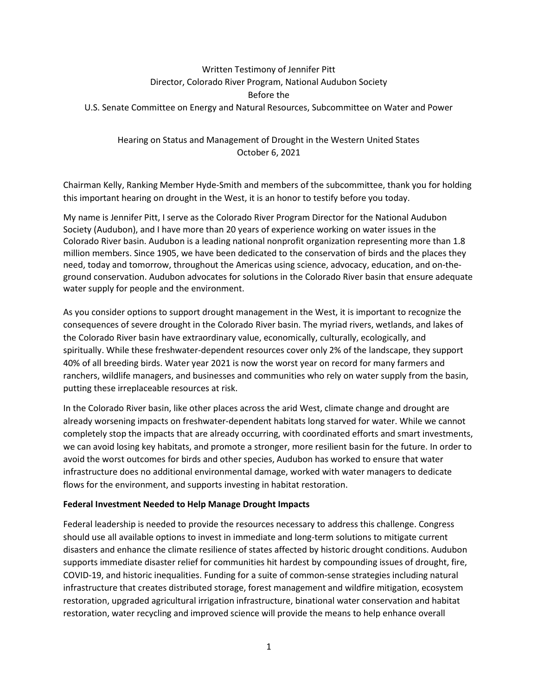# Written Testimony of Jennifer Pitt Director, Colorado River Program, National Audubon Society Before the U.S. Senate Committee on Energy and Natural Resources, Subcommittee on Water and Power

## Hearing on Status and Management of Drought in the Western United States October 6, 2021

Chairman Kelly, Ranking Member Hyde-Smith and members of the subcommittee, thank you for holding this important hearing on drought in the West, it is an honor to testify before you today.

My name is Jennifer Pitt, I serve as the Colorado River Program Director for the National Audubon Society (Audubon), and I have more than 20 years of experience working on water issues in the Colorado River basin. Audubon is a leading national nonprofit organization representing more than 1.8 million members. Since 1905, we have been dedicated to the conservation of birds and the places they need, today and tomorrow, throughout the Americas using science, advocacy, education, and on-theground conservation. Audubon advocates for solutions in the Colorado River basin that ensure adequate water supply for people and the environment.

As you consider options to support drought management in the West, it is important to recognize the consequences of severe drought in the Colorado River basin. The myriad rivers, wetlands, and lakes of the Colorado River basin have extraordinary value, economically, culturally, ecologically, and spiritually. While these freshwater-dependent resources cover only 2% of the landscape, they support 40% of all breeding birds. Water year 2021 is now the worst year on record for many farmers and ranchers, wildlife managers, and businesses and communities who rely on water supply from the basin, putting these irreplaceable resources at risk.

In the Colorado River basin, like other places across the arid West, climate change and drought are already worsening impacts on freshwater-dependent habitats long starved for water. While we cannot completely stop the impacts that are already occurring, with coordinated efforts and smart investments, we can avoid losing key habitats, and promote a stronger, more resilient basin for the future. In order to avoid the worst outcomes for birds and other species, Audubon has worked to ensure that water infrastructure does no additional environmental damage, worked with water managers to dedicate flows for the environment, and supports investing in habitat restoration.

#### Federal Investment Needed to Help Manage Drought Impacts

Federal leadership is needed to provide the resources necessary to address this challenge. Congress should use all available options to invest in immediate and long-term solutions to mitigate current disasters and enhance the climate resilience of states affected by historic drought conditions. Audubon supports immediate disaster relief for communities hit hardest by compounding issues of drought, fire, COVID-19, and historic inequalities. Funding for a suite of common-sense strategies including natural infrastructure that creates distributed storage, forest management and wildfire mitigation, ecosystem restoration, upgraded agricultural irrigation infrastructure, binational water conservation and habitat restoration, water recycling and improved science will provide the means to help enhance overall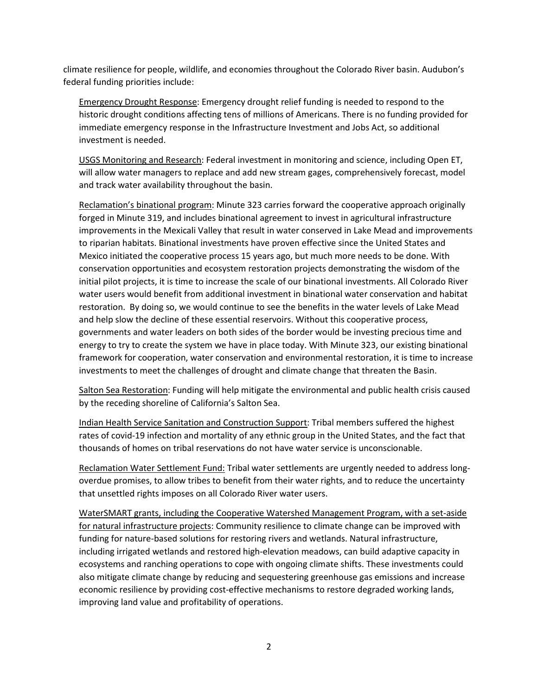climate resilience for people, wildlife, and economies throughout the Colorado River basin. Audubon's federal funding priorities include:

Emergency Drought Response: Emergency drought relief funding is needed to respond to the historic drought conditions affecting tens of millions of Americans. There is no funding provided for immediate emergency response in the Infrastructure Investment and Jobs Act, so additional investment is needed.

USGS Monitoring and Research: Federal investment in monitoring and science, including Open ET, will allow water managers to replace and add new stream gages, comprehensively forecast, model and track water availability throughout the basin.

Reclamation's binational program: Minute 323 carries forward the cooperative approach originally forged in Minute 319, and includes binational agreement to invest in agricultural infrastructure improvements in the Mexicali Valley that result in water conserved in Lake Mead and improvements to riparian habitats. Binational investments have proven effective since the United States and Mexico initiated the cooperative process 15 years ago, but much more needs to be done. With conservation opportunities and ecosystem restoration projects demonstrating the wisdom of the initial pilot projects, it is time to increase the scale of our binational investments. All Colorado River water users would benefit from additional investment in binational water conservation and habitat restoration. By doing so, we would continue to see the benefits in the water levels of Lake Mead and help slow the decline of these essential reservoirs. Without this cooperative process, governments and water leaders on both sides of the border would be investing precious time and energy to try to create the system we have in place today. With Minute 323, our existing binational framework for cooperation, water conservation and environmental restoration, it is time to increase investments to meet the challenges of drought and climate change that threaten the Basin.

Salton Sea Restoration: Funding will help mitigate the environmental and public health crisis caused by the receding shoreline of California's Salton Sea.

Indian Health Service Sanitation and Construction Support: Tribal members suffered the highest rates of covid-19 infection and mortality of any ethnic group in the United States, and the fact that thousands of homes on tribal reservations do not have water service is unconscionable.

Reclamation Water Settlement Fund: Tribal water settlements are urgently needed to address longoverdue promises, to allow tribes to benefit from their water rights, and to reduce the uncertainty that unsettled rights imposes on all Colorado River water users.

WaterSMART grants, including the Cooperative Watershed Management Program, with a set-aside for natural infrastructure projects: Community resilience to climate change can be improved with funding for nature-based solutions for restoring rivers and wetlands. Natural infrastructure, including irrigated wetlands and restored high-elevation meadows, can build adaptive capacity in ecosystems and ranching operations to cope with ongoing climate shifts. These investments could also mitigate climate change by reducing and sequestering greenhouse gas emissions and increase economic resilience by providing cost-effective mechanisms to restore degraded working lands, improving land value and profitability of operations.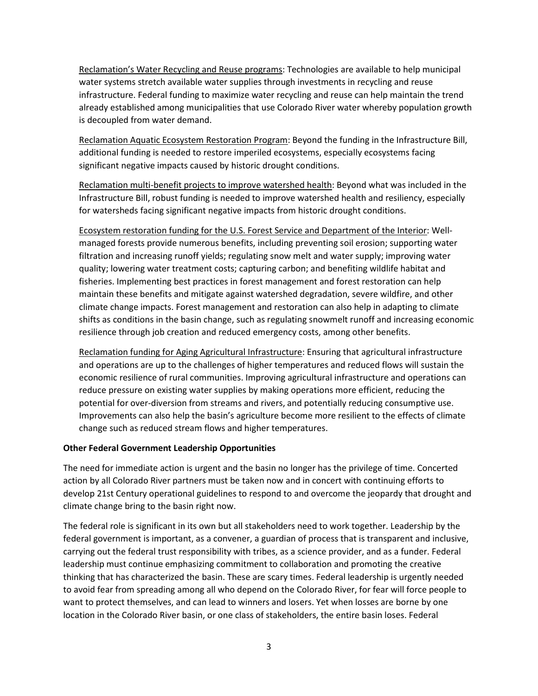Reclamation's Water Recycling and Reuse programs: Technologies are available to help municipal water systems stretch available water supplies through investments in recycling and reuse infrastructure. Federal funding to maximize water recycling and reuse can help maintain the trend already established among municipalities that use Colorado River water whereby population growth is decoupled from water demand.

Reclamation Aquatic Ecosystem Restoration Program: Beyond the funding in the Infrastructure Bill, additional funding is needed to restore imperiled ecosystems, especially ecosystems facing significant negative impacts caused by historic drought conditions.

Reclamation multi-benefit projects to improve watershed health: Beyond what was included in the Infrastructure Bill, robust funding is needed to improve watershed health and resiliency, especially for watersheds facing significant negative impacts from historic drought conditions.

Ecosystem restoration funding for the U.S. Forest Service and Department of the Interior: Wellmanaged forests provide numerous benefits, including preventing soil erosion; supporting water filtration and increasing runoff yields; regulating snow melt and water supply; improving water quality; lowering water treatment costs; capturing carbon; and benefiting wildlife habitat and fisheries. Implementing best practices in forest management and forest restoration can help maintain these benefits and mitigate against watershed degradation, severe wildfire, and other climate change impacts. Forest management and restoration can also help in adapting to climate shifts as conditions in the basin change, such as regulating snowmelt runoff and increasing economic resilience through job creation and reduced emergency costs, among other benefits.

Reclamation funding for Aging Agricultural Infrastructure: Ensuring that agricultural infrastructure and operations are up to the challenges of higher temperatures and reduced flows will sustain the economic resilience of rural communities. Improving agricultural infrastructure and operations can reduce pressure on existing water supplies by making operations more efficient, reducing the potential for over-diversion from streams and rivers, and potentially reducing consumptive use. Improvements can also help the basin's agriculture become more resilient to the effects of climate change such as reduced stream flows and higher temperatures.

#### Other Federal Government Leadership Opportunities

The need for immediate action is urgent and the basin no longer has the privilege of time. Concerted action by all Colorado River partners must be taken now and in concert with continuing efforts to develop 21st Century operational guidelines to respond to and overcome the jeopardy that drought and climate change bring to the basin right now.

The federal role is significant in its own but all stakeholders need to work together. Leadership by the federal government is important, as a convener, a guardian of process that is transparent and inclusive, carrying out the federal trust responsibility with tribes, as a science provider, and as a funder. Federal leadership must continue emphasizing commitment to collaboration and promoting the creative thinking that has characterized the basin. These are scary times. Federal leadership is urgently needed to avoid fear from spreading among all who depend on the Colorado River, for fear will force people to want to protect themselves, and can lead to winners and losers. Yet when losses are borne by one location in the Colorado River basin, or one class of stakeholders, the entire basin loses. Federal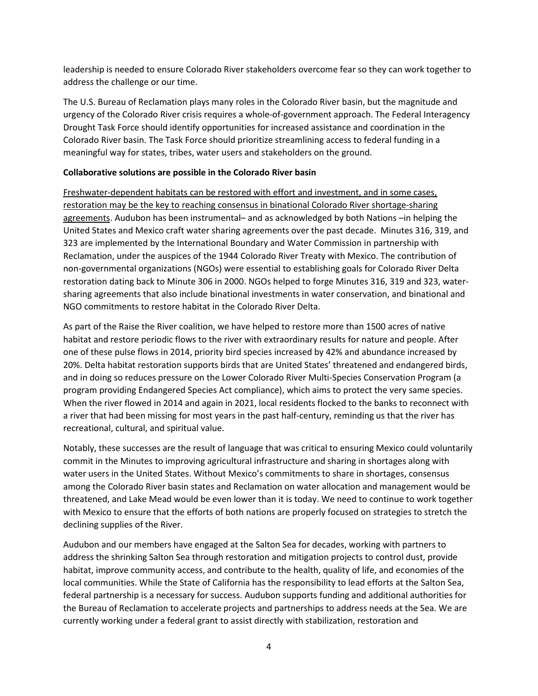leadership is needed to ensure Colorado River stakeholders overcome fear so they can work together to address the challenge or our time.

The U.S. Bureau of Reclamation plays many roles in the Colorado River basin, but the magnitude and urgency of the Colorado River crisis requires a whole-of-government approach. The Federal Interagency Drought Task Force should identify opportunities for increased assistance and coordination in the Colorado River basin. The Task Force should prioritize streamlining access to federal funding in a meaningful way for states, tribes, water users and stakeholders on the ground.

#### Collaborative solutions are possible in the Colorado River basin

Freshwater-dependent habitats can be restored with effort and investment, and in some cases, restoration may be the key to reaching consensus in binational Colorado River shortage-sharing agreements. Audubon has been instrumental– and as acknowledged by both Nations –in helping the United States and Mexico craft water sharing agreements over the past decade. Minutes 316, 319, and 323 are implemented by the International Boundary and Water Commission in partnership with Reclamation, under the auspices of the 1944 Colorado River Treaty with Mexico. The contribution of non-governmental organizations (NGOs) were essential to establishing goals for Colorado River Delta restoration dating back to Minute 306 in 2000. NGOs helped to forge Minutes 316, 319 and 323, watersharing agreements that also include binational investments in water conservation, and binational and NGO commitments to restore habitat in the Colorado River Delta.

As part of the Raise the River coalition, we have helped to restore more than 1500 acres of native habitat and restore periodic flows to the river with extraordinary results for nature and people. After one of these pulse flows in 2014, priority bird species increased by 42% and abundance increased by 20%. Delta habitat restoration supports birds that are United States' threatened and endangered birds, and in doing so reduces pressure on the Lower Colorado River Multi-Species Conservation Program (a program providing Endangered Species Act compliance), which aims to protect the very same species. When the river flowed in 2014 and again in 2021, local residents flocked to the banks to reconnect with a river that had been missing for most years in the past half-century, reminding us that the river has recreational, cultural, and spiritual value.

Notably, these successes are the result of language that was critical to ensuring Mexico could voluntarily commit in the Minutes to improving agricultural infrastructure and sharing in shortages along with water users in the United States. Without Mexico's commitments to share in shortages, consensus among the Colorado River basin states and Reclamation on water allocation and management would be threatened, and Lake Mead would be even lower than it is today. We need to continue to work together with Mexico to ensure that the efforts of both nations are properly focused on strategies to stretch the declining supplies of the River.

Audubon and our members have engaged at the Salton Sea for decades, working with partners to address the shrinking Salton Sea through restoration and mitigation projects to control dust, provide habitat, improve community access, and contribute to the health, quality of life, and economies of the local communities. While the State of California has the responsibility to lead efforts at the Salton Sea, federal partnership is a necessary for success. Audubon supports funding and additional authorities for the Bureau of Reclamation to accelerate projects and partnerships to address needs at the Sea. We are currently working under a federal grant to assist directly with stabilization, restoration and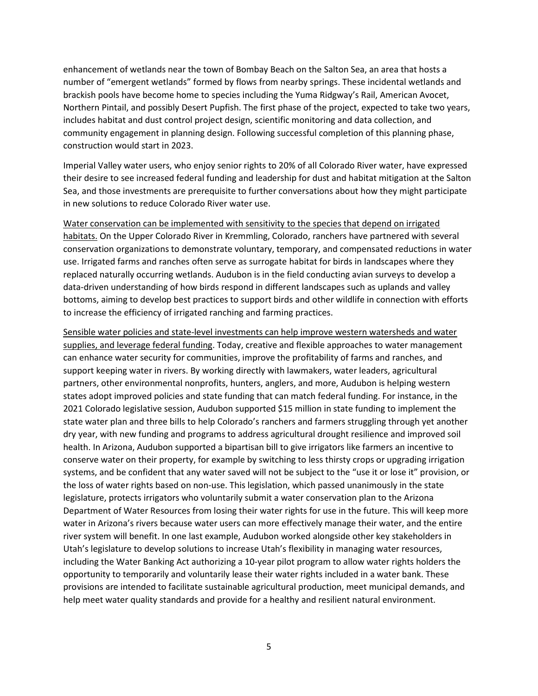enhancement of wetlands near the town of Bombay Beach on the Salton Sea, an area that hosts a number of "emergent wetlands" formed by flows from nearby springs. These incidental wetlands and brackish pools have become home to species including the Yuma Ridgway's Rail, American Avocet, Northern Pintail, and possibly Desert Pupfish. The first phase of the project, expected to take two years, includes habitat and dust control project design, scientific monitoring and data collection, and community engagement in planning design. Following successful completion of this planning phase, construction would start in 2023.

Imperial Valley water users, who enjoy senior rights to 20% of all Colorado River water, have expressed their desire to see increased federal funding and leadership for dust and habitat mitigation at the Salton Sea, and those investments are prerequisite to further conversations about how they might participate in new solutions to reduce Colorado River water use.

Water conservation can be implemented with sensitivity to the species that depend on irrigated habitats. On the Upper Colorado River in Kremmling, Colorado, ranchers have partnered with several conservation organizations to demonstrate voluntary, temporary, and compensated reductions in water use. Irrigated farms and ranches often serve as surrogate habitat for birds in landscapes where they replaced naturally occurring wetlands. Audubon is in the field conducting avian surveys to develop a data-driven understanding of how birds respond in different landscapes such as uplands and valley bottoms, aiming to develop best practices to support birds and other wildlife in connection with efforts to increase the efficiency of irrigated ranching and farming practices.

Sensible water policies and state-level investments can help improve western watersheds and water supplies, and leverage federal funding. Today, creative and flexible approaches to water management can enhance water security for communities, improve the profitability of farms and ranches, and support keeping water in rivers. By working directly with lawmakers, water leaders, agricultural partners, other environmental nonprofits, hunters, anglers, and more, Audubon is helping western states adopt improved policies and state funding that can match federal funding. For instance, in the 2021 Colorado legislative session, Audubon supported \$15 million in state funding to implement the state water plan and three bills to help Colorado's ranchers and farmers struggling through yet another dry year, with new funding and programs to address agricultural drought resilience and improved soil health. In Arizona, Audubon supported a bipartisan bill to give irrigators like farmers an incentive to conserve water on their property, for example by switching to less thirsty crops or upgrading irrigation systems, and be confident that any water saved will not be subject to the "use it or lose it" provision, or the loss of water rights based on non-use. This legislation, which passed unanimously in the state legislature, protects irrigators who voluntarily submit a water conservation plan to the Arizona Department of Water Resources from losing their water rights for use in the future. This will keep more water in Arizona's rivers because water users can more effectively manage their water, and the entire river system will benefit. In one last example, Audubon worked alongside other key stakeholders in Utah's legislature to develop solutions to increase Utah's flexibility in managing water resources, including the Water Banking Act authorizing a 10-year pilot program to allow water rights holders the opportunity to temporarily and voluntarily lease their water rights included in a water bank. These provisions are intended to facilitate sustainable agricultural production, meet municipal demands, and help meet water quality standards and provide for a healthy and resilient natural environment.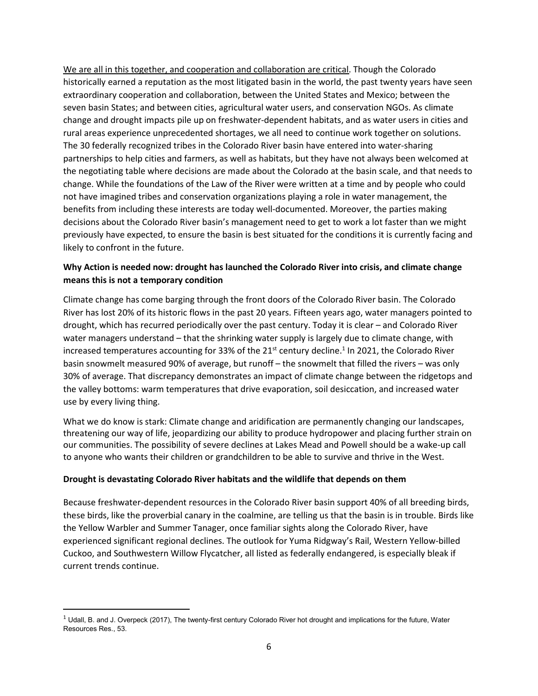We are all in this together, and cooperation and collaboration are critical. Though the Colorado historically earned a reputation as the most litigated basin in the world, the past twenty years have seen extraordinary cooperation and collaboration, between the United States and Mexico; between the seven basin States; and between cities, agricultural water users, and conservation NGOs. As climate change and drought impacts pile up on freshwater-dependent habitats, and as water users in cities and rural areas experience unprecedented shortages, we all need to continue work together on solutions. The 30 federally recognized tribes in the Colorado River basin have entered into water-sharing partnerships to help cities and farmers, as well as habitats, but they have not always been welcomed at the negotiating table where decisions are made about the Colorado at the basin scale, and that needs to change. While the foundations of the Law of the River were written at a time and by people who could not have imagined tribes and conservation organizations playing a role in water management, the benefits from including these interests are today well-documented. Moreover, the parties making decisions about the Colorado River basin's management need to get to work a lot faster than we might previously have expected, to ensure the basin is best situated for the conditions it is currently facing and likely to confront in the future.

## Why Action is needed now: drought has launched the Colorado River into crisis, and climate change means this is not a temporary condition

Climate change has come barging through the front doors of the Colorado River basin. The Colorado River has lost 20% of its historic flows in the past 20 years. Fifteen years ago, water managers pointed to drought, which has recurred periodically over the past century. Today it is clear – and Colorado River water managers understand – that the shrinking water supply is largely due to climate change, with increased temperatures accounting for 33% of the 21<sup>st</sup> century decline.<sup>1</sup> In 2021, the Colorado River basin snowmelt measured 90% of average, but runoff – the snowmelt that filled the rivers – was only 30% of average. That discrepancy demonstrates an impact of climate change between the ridgetops and the valley bottoms: warm temperatures that drive evaporation, soil desiccation, and increased water use by every living thing.

What we do know is stark: Climate change and aridification are permanently changing our landscapes, threatening our way of life, jeopardizing our ability to produce hydropower and placing further strain on our communities. The possibility of severe declines at Lakes Mead and Powell should be a wake-up call to anyone who wants their children or grandchildren to be able to survive and thrive in the West.

#### Drought is devastating Colorado River habitats and the wildlife that depends on them

Because freshwater-dependent resources in the Colorado River basin support 40% of all breeding birds, these birds, like the proverbial canary in the coalmine, are telling us that the basin is in trouble. Birds like the Yellow Warbler and Summer Tanager, once familiar sights along the Colorado River, have experienced significant regional declines. The outlook for Yuma Ridgway's Rail, Western Yellow-billed Cuckoo, and Southwestern Willow Flycatcher, all listed as federally endangered, is especially bleak if current trends continue.

 $1$  Udall, B. and J. Overpeck (2017), The twenty-first century Colorado River hot drought and implications for the future, Water Resources Res., 53.